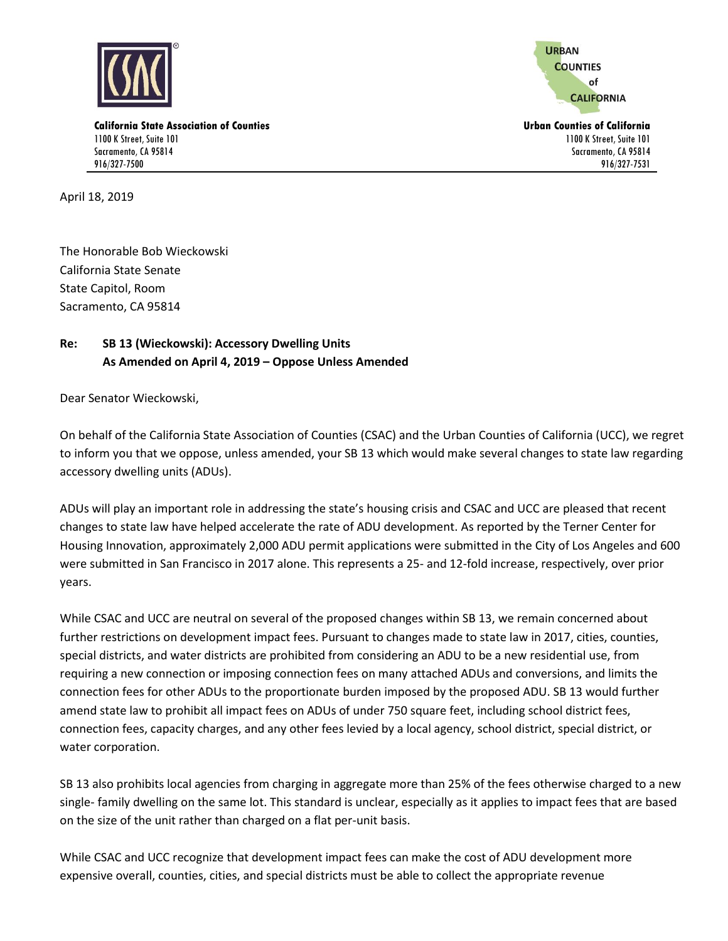

**URBAN COUNTIES** of **CALIFORNIA** 

1100 K Street, Suite 101 Sacramento, CA 95814 916/327-7531

**California State Association of Counties Urban Counties of California** 1100 K Street, Suite 101 Sacramento, CA 95814 916/327-7500

April 18, 2019

The Honorable Bob Wieckowski California State Senate State Capitol, Room Sacramento, CA 95814

## **Re: SB 13 (Wieckowski): Accessory Dwelling Units As Amended on April 4, 2019 – Oppose Unless Amended**

Dear Senator Wieckowski,

On behalf of the California State Association of Counties (CSAC) and the Urban Counties of California (UCC), we regret to inform you that we oppose, unless amended, your SB 13 which would make several changes to state law regarding accessory dwelling units (ADUs).

ADUs will play an important role in addressing the state's housing crisis and CSAC and UCC are pleased that recent changes to state law have helped accelerate the rate of ADU development. As reported by the Terner Center for Housing Innovation, approximately 2,000 ADU permit applications were submitted in the City of Los Angeles and 600 were submitted in San Francisco in 2017 alone. This represents a 25- and 12-fold increase, respectively, over prior years.

While CSAC and UCC are neutral on several of the proposed changes within SB 13, we remain concerned about further restrictions on development impact fees. Pursuant to changes made to state law in 2017, cities, counties, special districts, and water districts are prohibited from considering an ADU to be a new residential use, from requiring a new connection or imposing connection fees on many attached ADUs and conversions, and limits the connection fees for other ADUs to the proportionate burden imposed by the proposed ADU. SB 13 would further amend state law to prohibit all impact fees on ADUs of under 750 square feet, including school district fees, connection fees, capacity charges, and any other fees levied by a local agency, school district, special district, or water corporation.

SB 13 also prohibits local agencies from charging in aggregate more than 25% of the fees otherwise charged to a new single- family dwelling on the same lot. This standard is unclear, especially as it applies to impact fees that are based on the size of the unit rather than charged on a flat per-unit basis.

While CSAC and UCC recognize that development impact fees can make the cost of ADU development more expensive overall, counties, cities, and special districts must be able to collect the appropriate revenue